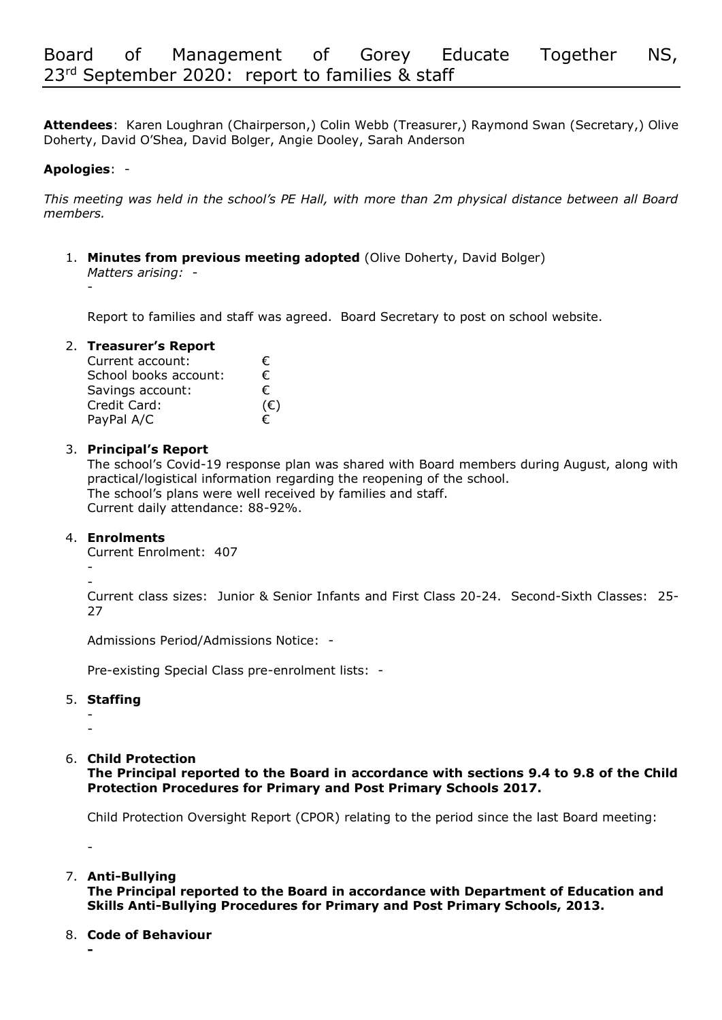**Attendees**: Karen Loughran (Chairperson,) Colin Webb (Treasurer,) Raymond Swan (Secretary,) Olive Doherty, David O'Shea, David Bolger, Angie Dooley, Sarah Anderson

# **Apologies**: -

*This meeting was held in the school's PE Hall, with more than 2m physical distance between all Board members.*

1. **Minutes from previous meeting adopted** (Olive Doherty, David Bolger) *Matters arising: -* 

-

Report to families and staff was agreed. Board Secretary to post on school website.

# 2. **Treasurer's Report**

| Current account:      | €            |
|-----------------------|--------------|
| School books account: | €            |
| Savings account:      | €            |
| Credit Card:          | $(\epsilon)$ |
| PayPal A/C            | €            |

# 3. **Principal's Report**

The school's Covid-19 response plan was shared with Board members during August, along with practical/logistical information regarding the reopening of the school. The school's plans were well received by families and staff. Current daily attendance: 88-92%.

#### 4. **Enrolments**

Current Enrolment: 407

- -

Current class sizes: Junior & Senior Infants and First Class 20-24. Second-Sixth Classes: 25- 27

Admissions Period/Admissions Notice: -

Pre-existing Special Class pre-enrolment lists: -

#### 5. **Staffing**

- -

-

**-**

# 6. **Child Protection**

**The Principal reported to the Board in accordance with sections 9.4 to 9.8 of the Child Protection Procedures for Primary and Post Primary Schools 2017.**

Child Protection Oversight Report (CPOR) relating to the period since the last Board meeting:

7. **Anti-Bullying**

**The Principal reported to the Board in accordance with Department of Education and Skills Anti-Bullying Procedures for Primary and Post Primary Schools, 2013.**

8. **Code of Behaviour**